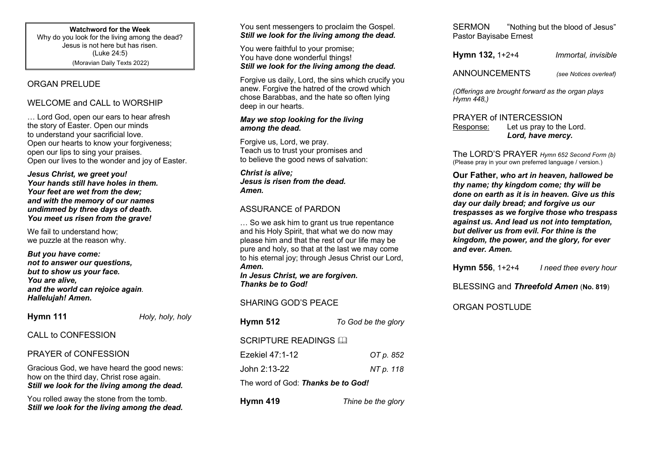**Watchword for the Week**

Why do you look for the living among the dead? Jesus is not here but has risen. (Luke 24:5) (Moravian Daily Texts 2022)

## ORGAN PRELUDE

## WELCOME and CALL to WORSHIP

… Lord God, open our ears to hear afresh the story of Easter. Open our minds to understand your sacrificial love. Open our hearts to know your forgiveness; open our lips to sing your praises. Open our lives to the wonder and joy of Easter.

*Jesus Christ, we greet you! Your hands still have holes in them. Your feet are wet from the dew; and with the memory of our names undimmed by three days of death. You meet us risen from the grave!*

We fail to understand how: we puzzle at the reason why.

*But you have come: not to answer our questions, but to show us your face. You are alive, and the world can rejoice again. Hallelujah! Amen.*

**Hymn 111** *Holy, holy, holy*

## CALL to CONFESSION

#### PRAYER of CONFESSION

Gracious God, we have heard the good news: how on the third day, Christ rose again. *Still we look for the living among the dead.*

You rolled away the stone from the tomb. *Still we look for the living among the dead.*

You sent messengers to proclaim the Gospel. *Still we look for the living among the dead.*

You were faithful to your promise; You have done wonderful things! *Still we look for the living among the dead.*

Forgive us daily, Lord, the sins which crucify you anew. Forgive the hatred of the crowd which chose Barabbas, and the hate so often lying deep in our hearts.

#### *May we stop looking for the living among the dead.*

Forgive us, Lord, we pray. Teach us to trust your promises and to believe the good news of salvation:

*Christ is alive; Jesus is risen from the dead. Amen.*

# ASSURANCE of PARDON

… So we ask him to grant us true repentance and his Holy Spirit, that what we do now may please him and that the rest of our life may be pure and holy, so that at the last we may come to his eternal joy; through Jesus Christ our Lord, *Amen.*

*In Jesus Christ, we are forgiven. Thanks be to God!*

## SHARING GOD'S PEACE

**Hymn 512** *To God be the glory* SCRIPTURE READINGS A Ezekiel 47:1-12 *OT p. 852* John 2:13-22 *NT p. 118* The word of God: *Thanks be to God!*

**Hymn 419** *Thine be the glory*

SERMON "Nothing but the blood of Jesus" Pastor Bayisabe Ernest

**Hymn 132,** 1+2+4*Immortal, invisible*

ANNOUNCEMENTS *(see Notices overleaf)*

*(Offerings are brought forward as the organ plays Hymn 448,)*

# PRAYER of INTERCESSION

Response: Let us pray to the Lord. *Lord, have mercy.*

The LORD'S PRAYER *Hymn 652 Second Form (b)* (Please pray in your own preferred language / version.)

**Our Father,** *who art in heaven, hallowed be thy name; thy kingdom come; thy will be done on earth as it is in heaven. Give us this day our daily bread; and forgive us our trespasses as we forgive those who trespass against us. And lead us not into temptation, but deliver us from evil. For thine is the kingdom, the power, and the glory, for ever and ever. Amen.*

**Hymn 556**, 1+2+4 *I need thee every hour*

BLESSING and *Threefold Amen* (**No. 819**)

# ORGAN POSTLUDE